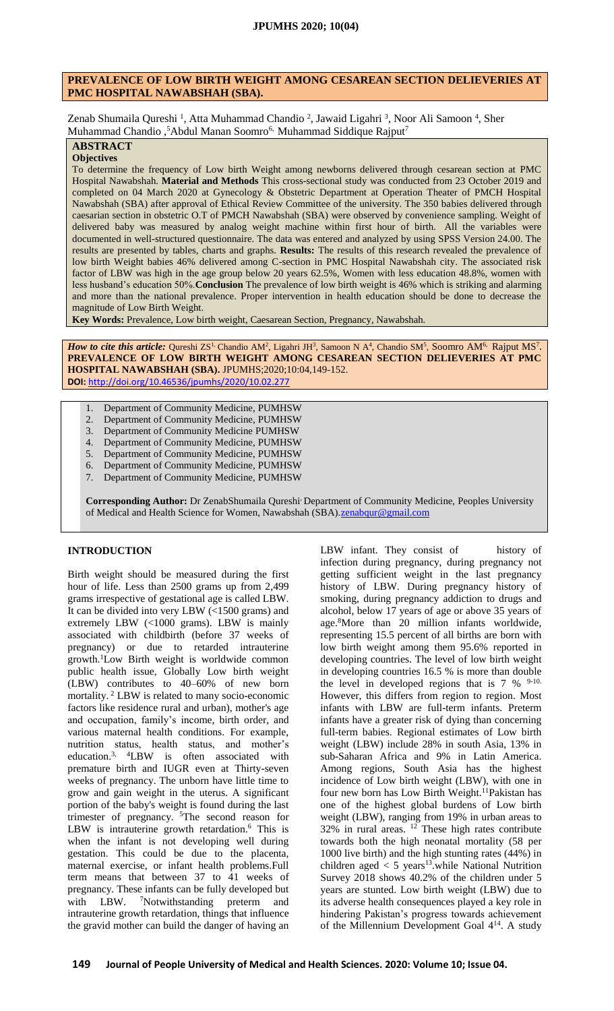## **PREVALENCE OF LOW BIRTH WEIGHT AMONG CESAREAN SECTION DELIEVERIES AT PMC HOSPITAL NAWABSHAH (SBA).**

Zenab Shumaila Qureshi<sup>1</sup>, Atta Muhammad Chandio<sup>2</sup>, Jawaid Ligahri<sup>3</sup>, Noor Ali Samoon<sup>4</sup>, Sher Muhammad Chandio,<sup>5</sup>Abdul Manan Soomro<sup>6,</sup> Muhammad Siddique Rajput<sup>7</sup>

# **ABSTRACT**

**Objectives**

To determine the frequency of Low birth Weight among newborns delivered through cesarean section at PMC Hospital Nawabshah. **Material and Methods** This cross-sectional study was conducted from 23 October 2019 and completed on 04 March 2020 at Gynecology & Obstetric Department at Operation Theater of PMCH Hospital Nawabshah (SBA) after approval of Ethical Review Committee of the university. The 350 babies delivered through caesarian section in obstetric O.T of PMCH Nawabshah (SBA) were observed by convenience sampling. Weight of delivered baby was measured by analog weight machine within first hour of birth. All the variables were documented in well-structured questionnaire. The data was entered and analyzed by using SPSS Version 24.00. The results are presented by tables, charts and graphs. **Results:** The results of this research revealed the prevalence of low birth Weight babies 46% delivered among C-section in PMC Hospital Nawabshah city. The associated risk factor of LBW was high in the age group below 20 years 62.5%, Women with less education 48.8%, women with less husband's education 50%.**Conclusion** The prevalence of low birth weight is 46% which is striking and alarming and more than the national prevalence. Proper intervention in health education should be done to decrease the magnitude of Low Birth Weight.

**Key Words:** Prevalence, Low birth weight, Caesarean Section, Pregnancy, Nawabshah.

*How to cite this article:* Qureshi ZS<sup>1</sup> Chandio AM<sup>2</sup>, Ligahri JH<sup>3</sup>, Samoon N A<sup>4</sup>, Chandio SM<sup>5</sup>, Soomro AM<sup>6,</sup> Rajput MS<sup>7</sup>. **PREVALENCE OF LOW BIRTH WEIGHT AMONG CESAREAN SECTION DELIEVERIES AT PMC HOSPITAL NAWABSHAH (SBA).** JPUMHS;2020;10:04,149-152. **DOI:** <http://doi.org/10.46536/jpumhs/2020/10.02.277>

- 1. Department of Community Medicine, PUMHSW
- 2. Department of Community Medicine, PUMHSW
- 3. Department of Community Medicine PUMHSW
- 4. Department of Community Medicine, PUMHSW
- 5. Department of Community Medicine, PUMHSW
- 6. Department of Community Medicine, PUMHSW
- 7. Department of Community Medicine, PUMHSW

**Corresponding Author:** Dr ZenabShumaila Qureshi, Department of Community Medicine, Peoples University of Medical and Health Science for Women, Nawabshah (SBA). zenabqur@gmail.com

## **INTRODUCTION**

Birth weight should be measured during the first hour of life. Less than 2500 grams up from 2,499 grams irrespective of gestational age is called LBW. It can be divided into very LBW (<1500 grams) and extremely LBW (<1000 grams). LBW is mainly associated with childbirth (before 37 weeks of pregnancy) or due to retarded intrauterine growth.<sup>1</sup>Low Birth weight is worldwide common public health issue, Globally Low birth weight (LBW) contributes to 40–60% of new born mortality. <sup>2</sup> LBW is related to many socio-economic factors like residence rural and urban), mother's age and occupation, family's income, birth order, and various maternal health conditions. For example, nutrition status, health status, and mother's education.3, 4LBW is often associated with premature birth and IUGR even at Thirty-seven weeks of pregnancy. The unborn have little time to grow and gain weight in the uterus. A significant portion of the baby's weight is found during the last trimester of pregnancy. <sup>5</sup>The second reason for LBW is intrauterine growth retardation.<sup>6</sup> This is when the infant is not developing well during gestation. This could be due to the placenta, maternal exercise, or infant health problems.Full term means that between 37 to 41 weeks of pregnancy. These infants can be fully developed but with LBW. <sup>7</sup>Notwithstanding preterm and intrauterine growth retardation, things that influence the gravid mother can build the danger of having an

LBW infant. They consist of history of infection during pregnancy, during pregnancy not getting sufficient weight in the last pregnancy history of LBW. During pregnancy history of smoking, during pregnancy addiction to drugs and alcohol, below 17 years of age or above 35 years of age.<sup>8</sup>More than 20 million infants worldwide, representing 15.5 percent of all births are born with low birth weight among them 95.6% reported in developing countries. The level of low birth weight in developing countries 16.5 % is more than double the level in developed regions that is  $7\%$  <sup>9-10.</sup> However, this differs from region to region. Most infants with LBW are full-term infants. Preterm infants have a greater risk of dying than concerning full-term babies. Regional estimates of Low birth weight (LBW) include 28% in south Asia, 13% in sub-Saharan Africa and 9% in Latin America. Among regions, South Asia has the highest incidence of Low birth weight (LBW), with one in four new born has Low Birth Weight.<sup>11</sup>Pakistan has one of the highest global burdens of Low birth weight (LBW), ranging from 19% in urban areas to  $32\%$  in rural areas. <sup>12</sup> These high rates contribute towards both the high neonatal mortality (58 per 1000 live birth) and the high stunting rates (44%) in children aged  $<$  5 years<sup>13</sup>.while National Nutrition Survey 2018 shows 40.2% of the children under 5 years are stunted. Low birth weight (LBW) due to its adverse health consequences played a key role in hindering Pakistan's progress towards achievement of the Millennium Development Goal 414. A study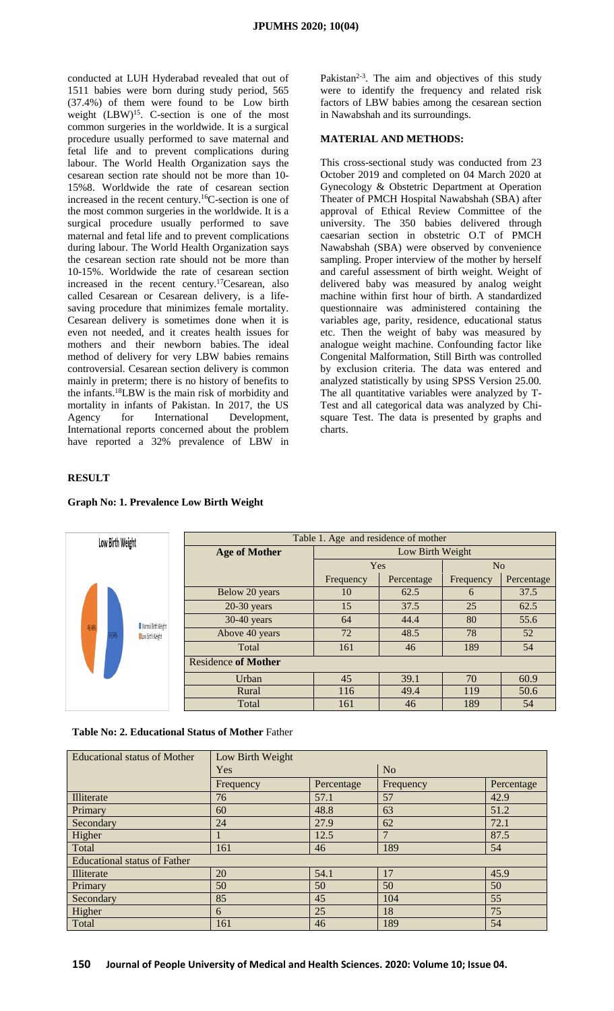conducted at LUH Hyderabad revealed that out of 1511 babies were born during study period, 565 (37.4%) of them were found to be Low birth weight (LBW)<sup>15</sup>. C-section is one of the most common surgeries in the worldwide. It is a surgical procedure usually performed to save maternal and fetal life and to prevent complications during labour. The World Health Organization says the cesarean section rate should not be more than 10- 15%8. Worldwide the rate of cesarean section increased in the recent century.<sup>16</sup>C-section is one of the most common surgeries in the worldwide. It is a surgical procedure usually performed to save maternal and fetal life and to prevent complications during labour. The World Health Organization says the cesarean section rate should not be more than 10-15%. Worldwide the rate of cesarean section increased in the recent century.<sup>17</sup>Cesarean, also called Cesarean or Cesarean delivery, is a lifesaving procedure that minimizes female mortality. Cesarean delivery is sometimes done when it is even not needed, and it creates health issues for mothers and their newborn babies. The ideal method of delivery for very LBW babies remains controversial. Cesarean section delivery is common mainly in preterm; there is no history of benefits to the infants.<sup>18</sup>LBW is the main risk of morbidity and mortality in infants of Pakistan. In 2017, the US Agency for International Development, International reports concerned about the problem have reported a 32% prevalence of LBW in

Pakistan $2-3$ . The aim and objectives of this study were to identify the frequency and related risk factors of LBW babies among the cesarean section in Nawabshah and its surroundings.

#### **MATERIAL AND METHODS:**

This cross-sectional study was conducted from 23 October 2019 and completed on 04 March 2020 at Gynecology & Obstetric Department at Operation Theater of PMCH Hospital Nawabshah (SBA) after approval of Ethical Review Committee of the university. The 350 babies delivered through caesarian section in obstetric O.T of PMCH Nawabshah (SBA) were observed by convenience sampling. Proper interview of the mother by herself and careful assessment of birth weight. Weight of delivered baby was measured by analog weight machine within first hour of birth. A standardized questionnaire was administered containing the variables age, parity, residence, educational status etc. Then the weight of baby was measured by analogue weight machine. Confounding factor like Congenital Malformation, Still Birth was controlled by exclusion criteria. The data was entered and analyzed statistically by using SPSS Version 25.00. The all quantitative variables were analyzed by T-Test and all categorical data was analyzed by Chisquare Test. The data is presented by graphs and charts.

## **RESULT**

| Low Birth Weight |      |                                         | Table 1. Age and residence of mother |                  |            |           |            |  |
|------------------|------|-----------------------------------------|--------------------------------------|------------------|------------|-----------|------------|--|
|                  |      |                                         | <b>Age of Mother</b>                 | Low Birth Weight |            |           |            |  |
|                  |      |                                         |                                      | Yes              |            | No        |            |  |
| 46.46%           |      |                                         |                                      | Frequency        | Percentage | Frequency | Percentage |  |
|                  |      | Normal Birth Weight<br>Low Birth Weight | Below 20 years                       | 10               | 62.5       | 6         | 37.5       |  |
|                  |      |                                         | $20-30$ years                        | 15               | 37.5       | 25        | 62.5       |  |
|                  |      |                                         | $30-40$ years                        | 64               | 44.4       | 80        | 55.6       |  |
|                  | 154% |                                         | Above 40 years                       | 72               | 48.5       | 78        | 52         |  |
|                  |      |                                         | Total                                | 161              | 46         | 189       | 54         |  |
|                  |      |                                         | <b>Residence of Mother</b>           |                  |            |           |            |  |
|                  |      |                                         | Urban                                | 45               | 39.1       | 70        | 60.9       |  |
|                  |      |                                         | Rural                                | 116              | 49.4       | 119       | 50.6       |  |
|                  |      |                                         | Total                                | 161              | 46         | 189       | 54         |  |

#### **Graph No: 1. Prevalence Low Birth Weight**

**Table No: 2. Educational Status of Mother** Father

| <b>Educational status of Mother</b> | Low Birth Weight |            |                |            |  |  |  |  |
|-------------------------------------|------------------|------------|----------------|------------|--|--|--|--|
|                                     | Yes              |            | N <sub>o</sub> |            |  |  |  |  |
|                                     | Frequency        | Percentage | Frequency      | Percentage |  |  |  |  |
| Illiterate                          | 76               | 57.1       | 57             | 42.9       |  |  |  |  |
| Primary                             | 60               | 48.8       | 63             | 51.2       |  |  |  |  |
| Secondary                           | 24               | 27.9       | 62             | 72.1       |  |  |  |  |
| Higher                              |                  | 12.5       |                | 87.5       |  |  |  |  |
| Total                               | 161              | 46         | 189            | 54         |  |  |  |  |
| <b>Educational status of Father</b> |                  |            |                |            |  |  |  |  |
| Illiterate                          | 20               | 54.1       | 17             | 45.9       |  |  |  |  |
| Primary                             | 50               | 50         | 50             | 50         |  |  |  |  |
| Secondary                           | 85               | 45         | 104            | 55         |  |  |  |  |
| Higher                              | 6                | 25         | 18             | 75         |  |  |  |  |
| Total                               | 161              | 46         | 189            | 54         |  |  |  |  |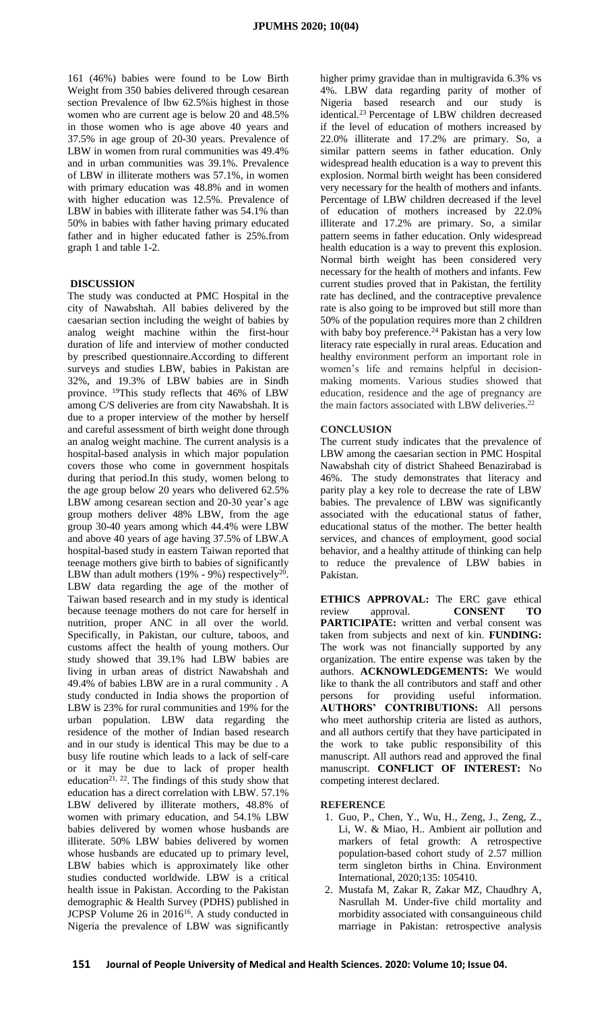161 (46%) babies were found to be Low Birth Weight from 350 babies delivered through cesarean section Prevalence of lbw 62.5% is highest in those women who are current age is below 20 and 48.5% in those women who is age above 40 years and 37.5% in age group of 20-30 years. Prevalence of LBW in women from rural communities was 49.4% and in urban communities was 39.1%. Prevalence of LBW in illiterate mothers was 57.1%, in women with primary education was 48.8% and in women with higher education was 12.5%. Prevalence of LBW in babies with illiterate father was 54.1% than 50% in babies with father having primary educated father and in higher educated father is 25%.from graph 1 and table 1-2.

## **DISCUSSION**

The study was conducted at PMC Hospital in the city of Nawabshah. All babies delivered by the caesarian section including the weight of babies by analog weight machine within the first-hour duration of life and interview of mother conducted by prescribed questionnaire.According to different surveys and studies LBW, babies in Pakistan are 32%, and 19.3% of LBW babies are in Sindh province. <sup>19</sup>This study reflects that 46% of LBW among C/S deliveries are from city Nawabshah. It is due to a proper interview of the mother by herself and careful assessment of birth weight done through an analog weight machine. The current analysis is a hospital-based analysis in which major population covers those who come in government hospitals during that period.In this study, women belong to the age group below 20 years who delivered 62.5% LBW among cesarean section and 20-30 year's age group mothers deliver 48% LBW, from the age group 30-40 years among which 44.4% were LBW and above 40 years of age having 37.5% of LBW.A hospital-based study in eastern Taiwan reported that teenage mothers give birth to babies of significantly LBW than adult mothers  $(19\% - 9\%)$  respectively<sup>20</sup>. LBW data regarding the age of the mother of Taiwan based research and in my study is identical because teenage mothers do not care for herself in nutrition, proper ANC in all over the world. Specifically, in Pakistan, our culture, taboos, and customs affect the health of young mothers. Our study showed that 39.1% had LBW babies are living in urban areas of district Nawabshah and 49.4% of babies LBW are in a rural community . A study conducted in India shows the proportion of LBW is 23% for rural communities and 19% for the urban population. LBW data regarding the residence of the mother of Indian based research and in our study is identical This may be due to a busy life routine which leads to a lack of self-care or it may be due to lack of proper health education<sup>21, 22</sup>. The findings of this study show that education has a direct correlation with LBW. 57.1% LBW delivered by illiterate mothers, 48.8% of women with primary education, and 54.1% LBW babies delivered by women whose husbands are illiterate. 50% LBW babies delivered by women whose husbands are educated up to primary level, LBW babies which is approximately like other studies conducted worldwide. LBW is a critical health issue in Pakistan. According to the Pakistan demographic & Health Survey (PDHS) published in JCPSP Volume 26 in 2016<sup>16</sup>. A study conducted in Nigeria the prevalence of LBW was significantly

higher primy gravidae than in multigravida 6.3% vs 4%. LBW data regarding parity of mother of Nigeria based research and our study is identical.<sup>23</sup> Percentage of LBW children decreased if the level of education of mothers increased by 22.0% illiterate and 17.2% are primary. So, a similar pattern seems in father education. Only widespread health education is a way to prevent this explosion. Normal birth weight has been considered very necessary for the health of mothers and infants. Percentage of LBW children decreased if the level of education of mothers increased by 22.0% illiterate and 17.2% are primary. So, a similar pattern seems in father education. Only widespread health education is a way to prevent this explosion. Normal birth weight has been considered very necessary for the health of mothers and infants. Few current studies proved that in Pakistan, the fertility rate has declined, and the contraceptive prevalence rate is also going to be improved but still more than 50% of the population requires more than 2 children with baby boy preference.<sup>24</sup> Pakistan has a very low literacy rate especially in rural areas. Education and healthy environment perform an important role in women's life and remains helpful in decisionmaking moments. Various studies showed that education, residence and the age of pregnancy are the main factors associated with LBW deliveries.<sup>22</sup>

#### **CONCLUSION**

The current study indicates that the prevalence of LBW among the caesarian section in PMC Hospital Nawabshah city of district Shaheed Benazirabad is 46%. The study demonstrates that literacy and parity play a key role to decrease the rate of LBW babies. The prevalence of LBW was significantly associated with the educational status of father, educational status of the mother. The better health services, and chances of employment, good social behavior, and a healthy attitude of thinking can help to reduce the prevalence of LBW babies in Pakistan.

**ETHICS APPROVAL:** The ERC gave ethical review approval. **CONSENT TO PARTICIPATE:** written and verbal consent was taken from subjects and next of kin. **FUNDING:** The work was not financially supported by any organization. The entire expense was taken by the authors. **ACKNOWLEDGEMENTS:** We would like to thank the all contributors and staff and other persons for providing useful information. **AUTHORS' CONTRIBUTIONS:** All persons who meet authorship criteria are listed as authors, and all authors certify that they have participated in the work to take public responsibility of this manuscript. All authors read and approved the final manuscript. **CONFLICT OF INTEREST:** No competing interest declared.

#### **REFERENCE**

- 1. Guo, P., Chen, Y., Wu, H., Zeng, J., Zeng, Z., Li, W. & Miao, H.. Ambient air pollution and markers of fetal growth: A retrospective population-based cohort study of 2.57 million term singleton births in China. Environment International, 2020;135: 105410.
- 2. Mustafa M, Zakar R, Zakar MZ, Chaudhry A, Nasrullah M. Under-five child mortality and morbidity associated with consanguineous child marriage in Pakistan: retrospective analysis